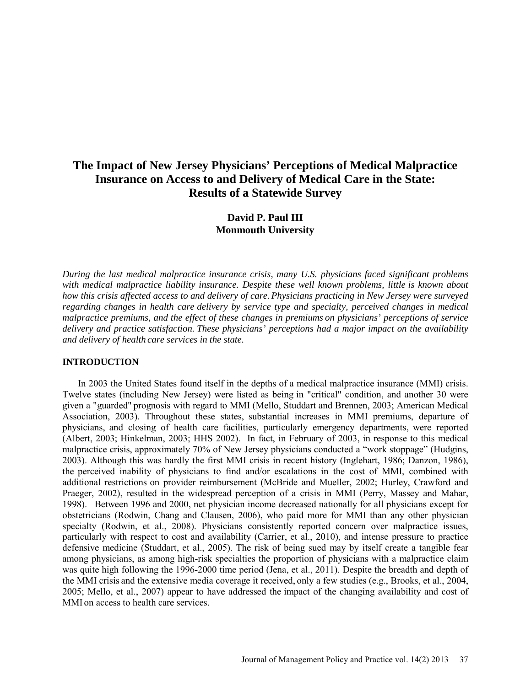# **The Impact of New Jersey Physicians' Perceptions of Medical Malpractice Insurance on Access to and Delivery of Medical Care in the State: Results of a Statewide Survey**

# **David P. Paul III Monmouth University**

*During the last medical malpractice insurance crisis, many U.S. physicians faced significant problems with medical malpractice liability insurance. Despite these well known problems, little is known about how this crisis affected access to and delivery of care. Physicians practicing in New Jersey were surveyed regarding changes in health care delivery by service type and specialty, perceived changes in medical malpractice premiums, and the effect of these changes in premiums on physicians' perceptions of service delivery and practice satisfaction. These physicians' perceptions had a major impact on the availability and delivery of health care services in the state.* 

## **INTRODUCTION**

In 2003 the United States found itself in the depths of a medical malpractice insurance (MMI) crisis. Twelve states (including New Jersey) were listed as being in "critical" condition, and another 30 were given a "guarded" prognosis with regard to MMI (Mello, Studdart and Brennen, 2003; American Medical Association, 2003). Throughout these states, substantial increases in MMI premiums, departure of physicians, and closing of health care facilities, particularly emergency departments, were reported (Albert, 2003; Hinkelman, 2003; HHS 2002). In fact, in February of 2003, in response to this medical malpractice crisis, approximately 70% of New Jersey physicians conducted a "work stoppage" (Hudgins, 2003). Although this was hardly the first MMI crisis in recent history (Inglehart, 1986; Danzon, 1986), the perceived inability of physicians to find and/or escalations in the cost of MMI, combined with additional restrictions on provider reimbursement (McBride and Mueller, 2002; Hurley, Crawford and Praeger, 2002), resulted in the widespread perception of a crisis in MMI (Perry, Massey and Mahar, 1998). Between 1996 and 2000, net physician income decreased nationally for all physicians except for obstetricians (Rodwin, Chang and Clausen, 2006), who paid more for MMI than any other physician specialty (Rodwin, et al., 2008). Physicians consistently reported concern over malpractice issues, particularly with respect to cost and availability (Carrier, et al., 2010), and intense pressure to practice defensive medicine (Studdart, et al., 2005). The risk of being sued may by itself create a tangible fear among physicians, as among high-risk specialties the proportion of physicians with a malpractice claim was quite high following the 1996-2000 time period (Jena, et al., 2011). Despite the breadth and depth of the MMI crisis and the extensive media coverage it received, only a few studies (e.g., Brooks, et al., 2004, 2005; Mello, et al., 2007) appear to have addressed the impact of the changing availability and cost of MMI on access to health care services.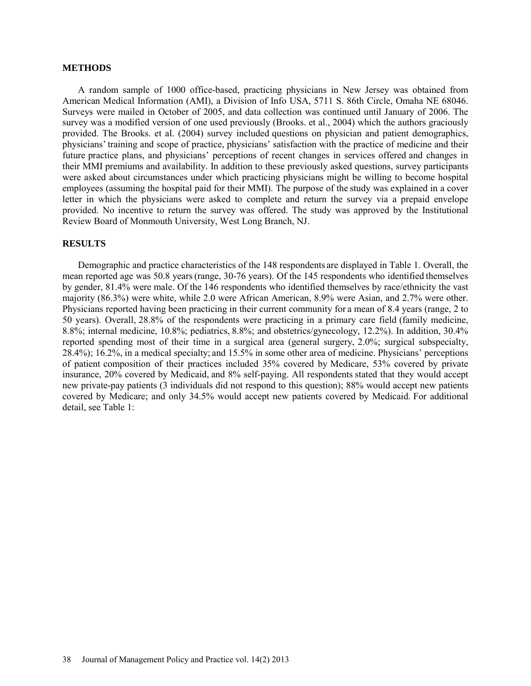#### **METHODS**

A random sample of 1000 office-based, practicing physicians in New Jersey was obtained from American Medical Information (AMI), a Division of Info USA, 5711 S. 86th Circle, Omaha NE 68046. Surveys were mailed in October of 2005, and data collection was continued until January of 2006. The survey was a modified version of one used previously (Brooks. et al., 2004) which the authors graciously provided. The Brooks. et al. (2004) survey included questions on physician and patient demographics, physicians' training and scope of practice, physicians' satisfaction with the practice of medicine and their future practice plans, and physicians' perceptions of recent changes in services offered and changes in their MMI premiums and availability. In addition to these previously asked questions, survey participants were asked about circumstances under which practicing physicians might be willing to become hospital employees (assuming the hospital paid for their MMI). The purpose of the study was explained in a cover letter in which the physicians were asked to complete and return the survey via a prepaid envelope provided. No incentive to return the survey was offered. The study was approved by the Institutional Review Board of Monmouth University, West Long Branch, NJ.

#### **RESULTS**

Demographic and practice characteristics of the 148 respondents are displayed in [Table 1.](http://archinte.ama-assn.org/cgi/content/full/164/20/2217#IOI30892T1) Overall, the mean reported age was 50.8 years(range, 30-76 years). Of the 145 respondents who identified themselves by gender, 81.4% were male. Of the 146 respondents who identified themselves by race/ethnicity the vast majority (86.3%) were white, while 2.0 were African American, 8.9% were Asian, and 2.7% were other. Physicians reported having been practicing in their current community for a mean of 8.4 years (range, 2 to 50 years). Overall, 28.8% of the respondents were practicing in a primary care field (family medicine, 8.8%; internal medicine, 10.8%; pediatrics, 8.8%; and obstetrics/gynecology, 12.2%). In addition, 30.4% reported spending most of their time in a surgical area (general surgery, 2.0%; surgical subspecialty, 28.4%); 16.2%, in a medical specialty; and 15.5% in some other area of medicine. Physicians' perceptions of patient composition of their practices included 35% covered by Medicare, 53% covered by private insurance, 20% covered by Medicaid, and 8% self-paying. All respondents stated that they would accept new private-pay patients (3 individuals did not respond to this question); 88% would accept new patients covered by Medicare; and only 34.5% would accept new patients covered by Medicaid. For additional detail, see Table 1: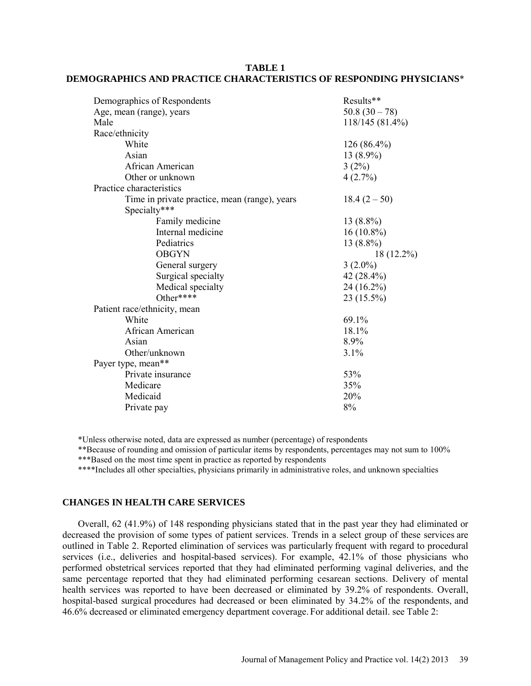#### **TABLE 1 DEMOGRAPHICS AND PRACTICE CHARACTERISTICS OF RESPONDING PHYSICIANS**\*

| Demographics of Respondents                   | Results**       |  |  |
|-----------------------------------------------|-----------------|--|--|
| Age, mean (range), years                      | $50.8(30-78)$   |  |  |
| Male                                          | 118/145 (81.4%) |  |  |
| Race/ethnicity                                |                 |  |  |
| White                                         | $126(86.4\%)$   |  |  |
| Asian                                         | $13(8.9\%)$     |  |  |
| African American                              | $3(2\%)$        |  |  |
| Other or unknown                              | 4(2.7%)         |  |  |
| Practice characteristics                      |                 |  |  |
| Time in private practice, mean (range), years | $18.4(2-50)$    |  |  |
| Specialty***                                  |                 |  |  |
| Family medicine                               | $13(8.8\%)$     |  |  |
| Internal medicine                             | $16(10.8\%)$    |  |  |
| Pediatrics                                    | 13 (8.8%)       |  |  |
| <b>OBGYN</b>                                  | 18 (12.2%)      |  |  |
| General surgery                               | $3(2.0\%)$      |  |  |
| Surgical specialty                            | 42 (28.4%)      |  |  |
| Medical specialty                             | 24 (16.2%)      |  |  |
| Other****                                     | 23 (15.5%)      |  |  |
| Patient race/ethnicity, mean                  |                 |  |  |
| White                                         | 69.1%           |  |  |
| African American                              | 18.1%           |  |  |
| Asian                                         | 8.9%            |  |  |
| Other/unknown                                 | 3.1%            |  |  |
| Payer type, mean**                            |                 |  |  |
| Private insurance                             | 53%             |  |  |
| Medicare                                      | 35%             |  |  |
| Medicaid                                      | 20%             |  |  |
| Private pay                                   | 8%              |  |  |

\*Unless otherwise noted, data are expressed as number (percentage) of respondents

\*\*Because of rounding and omission of particular items by respondents, percentages may not sum to 100%

\*\*\*Based on the most time spent in practice as reported by respondents

\*\*\*\*Includes all other specialties, physicians primarily in administrative roles, and unknown specialties

### **CHANGES IN HEALTH CARE SERVICES**

Overall, 62 (41.9%) of 148 responding physicians stated that in the past year they had eliminated or decreased the provision of some types of patient services. Trends in a select group of these services are outlined in [Table 2.](http://archinte.ama-assn.org/cgi/content/full/164/20/2217#IOI30892T2) Reported elimination of services was particularly frequent with regard to procedural services (i.e., deliveries and hospital-based services). For example, 42.1% of those physicians who performed obstetrical services reported that they had eliminated performing vaginal deliveries, and the same percentage reported that they had eliminated performing cesarean sections. Delivery of mental health services was reported to have been decreased or eliminated by 39.2% of respondents. Overall, hospital-based surgical procedures had decreased or been eliminated by 34.2% of the respondents, and 46.6% decreased or eliminated emergency department coverage. For additional detail. see Table 2: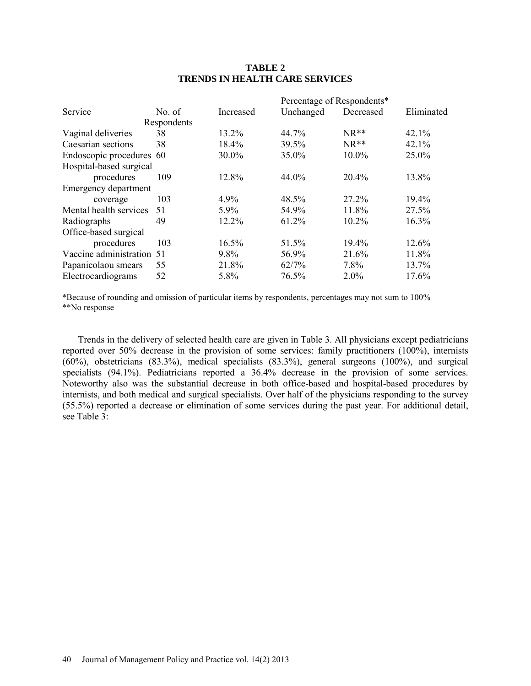### **TABLE 2 TRENDS IN HEALTH CARE SERVICES**

|                           |             |           | Percentage of Respondents* |           |            |
|---------------------------|-------------|-----------|----------------------------|-----------|------------|
| Service                   | No. of      | Increased | Unchanged                  | Decreased | Eliminated |
|                           | Respondents |           |                            |           |            |
| Vaginal deliveries        | 38          | 13.2%     | 44.7%                      | $NR**$    | 42.1%      |
| Caesarian sections        | 38          | 18.4%     | 39.5%                      | $NR**$    | 42.1%      |
| Endoscopic procedures 60  |             | 30.0%     | 35.0%                      | 10.0%     | 25.0%      |
| Hospital-based surgical   |             |           |                            |           |            |
| procedures                | 109         | 12.8%     | 44.0%                      | 20.4%     | 13.8%      |
| Emergency department      |             |           |                            |           |            |
| coverage                  | 103         | 4.9%      | 48.5%                      | 27.2%     | 19.4%      |
| Mental health services    | 51          | 5.9%      | 54.9%                      | 11.8%     | 27.5%      |
| Radiographs               | 49          | 12.2%     | 61.2%                      | 10.2%     | 16.3%      |
| Office-based surgical     |             |           |                            |           |            |
| procedures                | 103         | 16.5%     | 51.5%                      | 19.4%     | 12.6%      |
| Vaccine administration 51 |             | 9.8%      | 56.9%                      | 21.6%     | 11.8%      |
| Papanicolaou smears       | 55          | 21.8%     | $62/7\%$                   | 7.8%      | 13.7%      |
| Electrocardiograms        | 52          | 5.8%      | 76.5%                      | $2.0\%$   | 17.6%      |
|                           |             |           |                            |           |            |

\*Because of rounding and omission of particular items by respondents, percentages may not sum to 100% \*\*No response

Trends in the delivery of selected health care are given in [Table 3.](http://archinte.ama-assn.org/cgi/content/full/164/20/2217#IOI30892T3) All physicians except pediatricians reported over 50% decrease in the provision of some services: family practitioners (100%), internists (60%), obstetricians (83.3%), medical specialists (83.3%), general surgeons (100%), and surgical specialists (94.1%). Pediatricians reported a 36.4% decrease in the provision of some services. Noteworthy also was the substantial decrease in both office-based and hospital-based procedures by internists, and both medical and surgical specialists. Over half of the physicians responding to the survey (55.5%) reported a decrease or elimination of some services during the past year. For additional detail, see Table 3: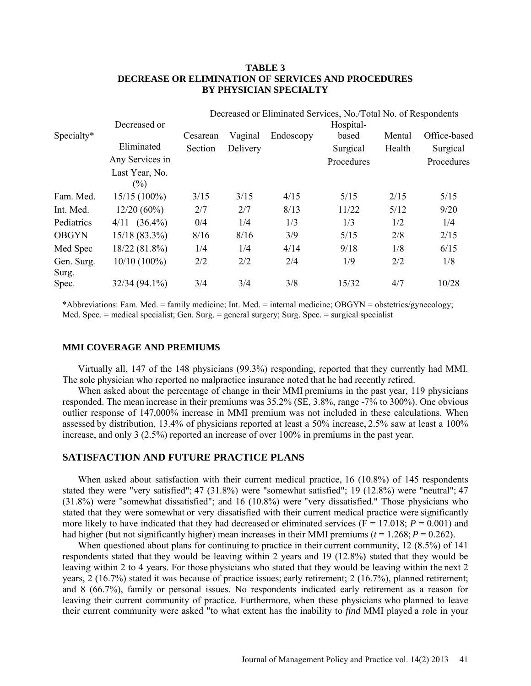### **TABLE 3 DECREASE OR ELIMINATION OF SERVICES AND PROCEDURES BY PHYSICIAN SPECIALTY**

|                     |                          | Decreased or Eliminated Services, No./Total No. of Respondents |          |           |            |        |              |
|---------------------|--------------------------|----------------------------------------------------------------|----------|-----------|------------|--------|--------------|
|                     | Decreased or             | Hospital-                                                      |          |           |            |        |              |
| Specialty*          |                          | Cesarean                                                       | Vaginal  | Endoscopy | based      | Mental | Office-based |
|                     | Eliminated               | Section                                                        | Delivery |           | Surgical   | Health | Surgical     |
|                     | Any Services in          |                                                                |          |           | Procedures |        | Procedures   |
|                     | Last Year, No.<br>$(\%)$ |                                                                |          |           |            |        |              |
| Fam. Med.           | $15/15(100\%)$           | 3/15                                                           | 3/15     | 4/15      | 5/15       | 2/15   | 5/15         |
| Int. Med.           | $12/20(60\%)$            | 2/7                                                            | 2/7      | 8/13      | 11/22      | 5/12   | 9/20         |
| Pediatrics          | $(36.4\%)$<br>4/11       | 0/4                                                            | 1/4      | 1/3       | 1/3        | 1/2    | 1/4          |
| <b>OBGYN</b>        | $15/18(83.3\%)$          | 8/16                                                           | 8/16     | 3/9       | 5/15       | 2/8    | 2/15         |
| Med Spec            | $18/22(81.8\%)$          | 1/4                                                            | 1/4      | 4/14      | 9/18       | 1/8    | 6/15         |
| Gen. Surg.<br>Surg. | $10/10(100\%)$           | 2/2                                                            | 2/2      | 2/4       | 1/9        | 2/2    | 1/8          |
| Spec.               | $32/34(94.1\%)$          | 3/4                                                            | 3/4      | 3/8       | 15/32      | 4/7    | 10/28        |

\*Abbreviations: Fam. Med. = family medicine; Int. Med. = internal medicine; OBGYN = obstetrics/gynecology; Med. Spec. = medical specialist; Gen. Surg. = general surgery; Surg. Spec. = surgical specialist

#### **MMI COVERAGE AND PREMIUMS**

Virtually all, 147 of the 148 physicians (99.3%) responding, reported that they currently had MMI. The sole physician who reported no malpractice insurance noted that he had recently retired.

When asked about the percentage of change in their MMI premiums in the past year, 119 physicians responded. The mean increase in their premiums was 35.2% (SE, 3.8%, range -7% to 300%). One obvious outlier response of 147,000% increase in MMI premium was not included in these calculations. When assessed by distribution, 13.4% of physicians reported at least a 50% increase, 2.5% saw at least a 100% increase, and only 3 (2.5%) reported an increase of over 100% in premiums in the past year.

# **SATISFACTION AND FUTURE PRACTICE PLANS**

When asked about satisfaction with their current medical practice, 16 (10.8%) of 145 respondents stated they were "very satisfied"; 47 (31.8%) were "somewhat satisfied"; 19 (12.8%) were "neutral"; 47 (31.8%) were "somewhat dissatisfied"; and 16 (10.8%) were "very dissatisfied." Those physicians who stated that they were somewhat or very dissatisfied with their current medical practice were significantly more likely to have indicated that they had decreased or eliminated services ( $F = 17.018$ ;  $P = 0.001$ ) and had higher (but not significantly higher) mean increases in their MMI premiums ( $t = 1.268$ ;  $P = 0.262$ ).

When questioned about plans for continuing to practice in their current community, 12 (8.5%) of 141 respondents stated that they would be leaving within 2 years and 19 (12.8%) stated that they would be leaving within 2 to 4 years. For those physicians who stated that they would be leaving within the next 2 years, 2 (16.7%) stated it was because of practice issues; early retirement; 2 (16.7%), planned retirement; and 8 (66.7%), family or personal issues. No respondents indicated early retirement as a reason for leaving their current community of practice. Furthermore, when these physicians who planned to leave their current community were asked "to what extent has the inability to *find* MMI played a role in your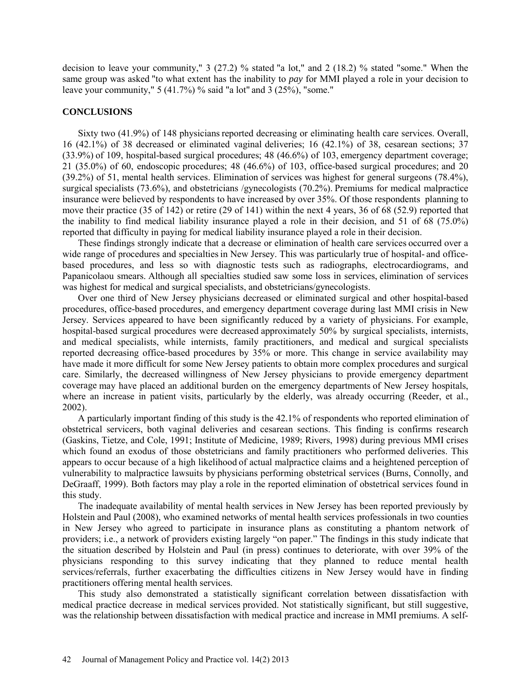decision to leave your community," 3 (27.2) % stated "a lot," and 2 (18.2) % stated "some." When the same group was asked "to what extent has the inability to *pay* for MMI played a role in your decision to leave your community,"  $5(41.7%)$  % said "a lot" and  $3(25%)$ , "some."

#### **CONCLUSIONS**

Sixty two (41.9%) of 148 physicians reported decreasing or eliminating health care services. Overall, 16 (42.1%) of 38 decreased or eliminated vaginal deliveries; 16 (42.1%) of 38, cesarean sections; 37 (33.9%) of 109, hospital-based surgical procedures; 48 (46.6%) of 103, emergency department coverage; 21 (35.0%) of 60, endoscopic procedures; 48 (46.6%) of 103, office-based surgical procedures; and 20 (39.2%) of 51, mental health services. Elimination of services was highest for general surgeons (78.4%), surgical specialists (73.6%), and obstetricians /gynecologists (70.2%). Premiums for medical malpractice insurance were believed by respondents to have increased by over 35%. Of those respondents planning to move their practice (35 of 142) or retire (29 of 141) within the next 4 years, 36 of 68 (52.9) reported that the inability to find medical liability insurance played a role in their decision, and 51 of 68 (75.0%) reported that difficulty in paying for medical liability insurance played a role in their decision.

These findings strongly indicate that a decrease or elimination of health care services occurred over a wide range of procedures and specialties in New Jersey. This was particularly true of hospital- and officebased procedures, and less so with diagnostic tests such as radiographs, electrocardiograms, and Papanicolaou smears. Although all specialties studied saw some loss in services, elimination of services was highest for medical and surgical specialists, and obstetricians/gynecologists.

Over one third of New Jersey physicians decreased or eliminated surgical and other hospital-based procedures, office-based procedures, and emergency department coverage during last MMI crisis in New Jersey. Services appeared to have been significantly reduced by a variety of physicians. For example, hospital-based surgical procedures were decreased approximately 50% by surgical specialists, internists, and medical specialists, while internists, family practitioners, and medical and surgical specialists reported decreasing office-based procedures by 35% or more. This change in service availability may have made it more difficult for some New Jersey patients to obtain more complex procedures and surgical care. Similarly, the decreased willingness of New Jersey physicians to provide emergency department coverage may have placed an additional burden on the emergency departments of New Jersey hospitals, where an increase in patient visits, particularly by the elderly, was already occurring (Reeder, et al., 2002).

A particularly important finding of this study is the 42.1% of respondents who reported elimination of obstetrical servicers, both vaginal deliveries and cesarean sections. This finding is confirms research (Gaskins, Tietze, and Cole, 1991; Institute of Medicine, 1989; Rivers, 1998) during previous MMI crises which found an exodus of those obstetricians and family practitioners who performed deliveries. This appears to occur because of a high likelihood of actual malpractice claims and a heightened perception of vulnerability to malpractice lawsuits by physicians performing obstetrical services (Burns, Connolly, and DeGraaff, 1999). Both factors may play a role in the reported elimination of obstetrical services found in this study.

The inadequate availability of mental health services in New Jersey has been reported previously by Holstein and Paul (2008), who examined networks of mental health services professionals in two counties in New Jersey who agreed to participate in insurance plans as constituting a phantom network of providers; i.e., a network of providers existing largely "on paper." The findings in this study indicate that the situation described by Holstein and Paul (in press) continues to deteriorate, with over 39% of the physicians responding to this survey indicating that they planned to reduce mental health services/referrals, further exacerbating the difficulties citizens in New Jersey would have in finding practitioners offering mental health services.

This study also demonstrated a statistically significant correlation between dissatisfaction with medical practice decrease in medical services provided. Not statistically significant, but still suggestive, was the relationship between dissatisfaction with medical practice and increase in MMI premiums. A self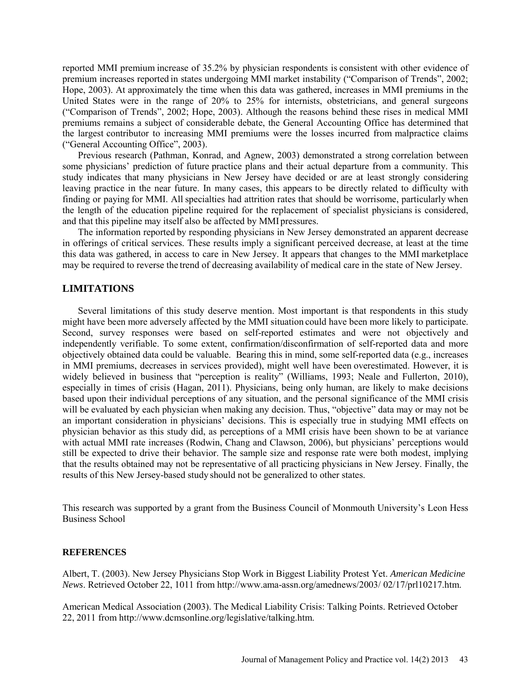reported MMI premium increase of 35.2% by physician respondents is consistent with other evidence of premium increases reported in states undergoing MMI market instability ("Comparison of Trends", 2002; Hope, 2003). At approximately the time when this data was gathered, increases in MMI premiums in the United States were in the range of 20% to 25% for internists, obstetricians, and general surgeons ("Comparison of Trends", 2002; Hope, 2003). Although the reasons behind these rises in medical MMI premiums remains a subject of considerable debate, the General Accounting Office has determined that the largest contributor to increasing MMI premiums were the losses incurred from malpractice claims ("General Accounting Office", 2003).

Previous research (Pathman, Konrad, and Agnew, 2003) demonstrated a strong correlation between some physicians' prediction of future practice plans and their actual departure from a community. This study indicates that many physicians in New Jersey have decided or are at least strongly considering leaving practice in the near future. In many cases, this appears to be directly related to difficulty with finding or paying for MMI. All specialties had attrition rates that should be worrisome, particularly when the length of the education pipeline required for the replacement of specialist physicians is considered, and that this pipeline may itself also be affected by MMI pressures.

The information reported by responding physicians in New Jersey demonstrated an apparent decrease in offerings of critical services. These results imply a significant perceived decrease, at least at the time this data was gathered, in access to care in New Jersey. It appears that changes to the MMI marketplace may be required to reverse the trend of decreasing availability of medical care in the state of New Jersey.

## **LIMITATIONS**

Several limitations of this study deserve mention. Most important is that respondents in this study might have been more adversely affected by the MMI situation could have been more likely to participate. Second, survey responses were based on self-reported estimates and were not objectively and independently verifiable. To some extent, confirmation/disconfirmation of self-reported data and more objectively obtained data could be valuable. Bearing this in mind, some self-reported data (e.g., increases in MMI premiums, decreases in services provided), might well have been overestimated. However, it is widely believed in business that "perception is reality" (Williams, 1993; Neale and Fullerton, 2010), especially in times of crisis (Hagan, 2011). Physicians, being only human, are likely to make decisions based upon their individual perceptions of any situation, and the personal significance of the MMI crisis will be evaluated by each physician when making any decision. Thus, "objective" data may or may not be an important consideration in physicians' decisions. This is especially true in studying MMI effects on physician behavior as this study did, as perceptions of a MMI crisis have been shown to be at variance with actual MMI rate increases (Rodwin, Chang and Clawson, 2006), but physicians' perceptions would still be expected to drive their behavior. The sample size and response rate were both modest, implying that the results obtained may not be representative of all practicing physicians in New Jersey. Finally, the results of this New Jersey-based study should not be generalized to other states.

This research was supported by a grant from the Business Council of Monmouth University's Leon Hess Business School

#### **REFERENCES**

Albert, T. (2003). New Jersey Physicians Stop Work in Biggest Liability Protest Yet. *American Medicine News*. Retrieved October 22, 1011 from [http://www.ama-assn.org/amednews/2003/ 02/17/prl10217.htm.](http://www.ama-assn.org/amednews/2003/%2002/17/prl10217.htm)

American Medical Association (2003). The Medical Liability Crisis: Talking Points. Retrieved October 22, 2011 from [http://www.dcmsonline.org/legislative/talking.htm.](http://www.dcmsonline.org/legislative/talking.htm)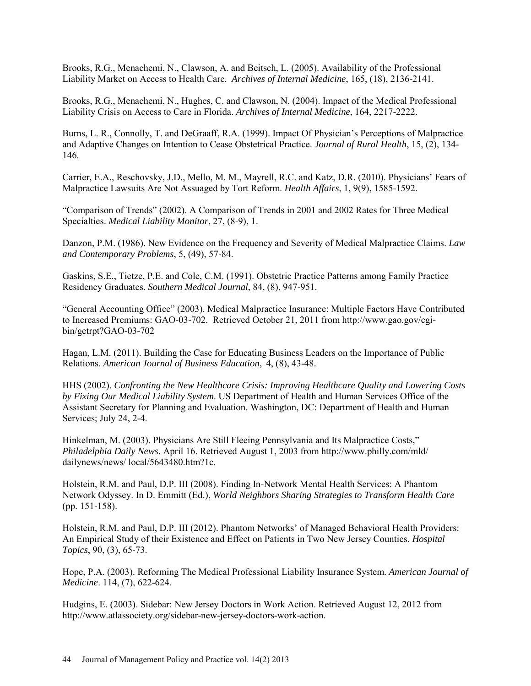Brooks, R.G., Menachemi, N., Clawson, A. and Beitsch, L. (2005). Availability of the Professional Liability Market on Access to Health Care. *Archives of Internal Medicine*, 165, (18), 2136-2141.

Brooks, R.G., Menachemi, N., Hughes, C. and Clawson, N. (2004). Impact of the Medical Professional Liability Crisis on Access to Care in Florida. *Archives of Internal Medicine*, 164, 2217-2222.

Burns, L. R., Connolly, T. and DeGraaff, R.A. (1999). Impact Of Physician's Perceptions of Malpractice and Adaptive Changes on Intention to Cease Obstetrical Practice. *Journal of Rural Health*, 15, (2), 134- 146.

Carrier, E.A., Reschovsky, J.D., Mello, M. M., Mayrell, R.C. and Katz, D.R. (2010). Physicians' Fears of Malpractice Lawsuits Are Not Assuaged by Tort Reform. *Health Affairs*, 1, 9(9), 1585-1592.

"Comparison of Trends" (2002). A Comparison of Trends in 2001 and 2002 Rates for Three Medical Specialties. *Medical Liability Monitor*, 27, (8-9), 1.

Danzon, P.M. (1986). New Evidence on the Frequency and Severity of Medical Malpractice Claims. *Law and Contemporary Problems*, 5, (49), 57-84.

Gaskins, S.E., Tietze, P.E. and Cole, C.M. (1991). Obstetric Practice Patterns among Family Practice Residency Graduates. *Southern Medical Journal*, 84, (8), 947-951.

"General Accounting Office" (2003). Medical Malpractice Insurance: Multiple Factors Have Contributed to Increased Premiums: GAO-03-702. Retrieved October 21, 2011 fro[m http://www.gao.gov/cgi](http://www.gao.gov/cgi-bin/getrpt?GAO-03-702)[bin/getrpt?GAO-03-702](http://www.gao.gov/cgi-bin/getrpt?GAO-03-702)

Hagan, L.M. (2011). [Building the Case for Educating Business Leaders on the Importance of Public](http://bluehawk.monmouth.edu:2141/docview/886547229/132912F2B0A3437CC6B/14?accountid=12532)  [Relations.](http://bluehawk.monmouth.edu:2141/docview/886547229/132912F2B0A3437CC6B/14?accountid=12532) *American Journal of Business Education*, 4, (8), 43-48.

HHS (2002). *Confronting the New Healthcare Crisis: Improving Healthcare Quality and Lowering Costs by Fixing Our Medical Liability System*. US Department of Health and Human Services Office of the Assistant Secretary for Planning and Evaluation. Washington, DC: Department of Health and Human Services; July 24, 2-4.

Hinkelman, M. (2003). Physicians Are Still Fleeing Pennsylvania and Its Malpractice Costs," *Philadelphia Daily News.* April 16. Retrieved August 1, 2003 from [http://www.philly.com/mld/](http://www.philly.com/mld/%20dailynews/news/%20local/5643480.htm?1c)  [dailynews/news/ local/5643480.htm?1c.](http://www.philly.com/mld/%20dailynews/news/%20local/5643480.htm?1c)

Holstein, R.M. and Paul, D.P. III (2008). Finding In-Network Mental Health Services: A Phantom Network Odyssey. In D. Emmitt (Ed.), *World Neighbors Sharing Strategies to Transform Health Care* (pp. 151-158).

Holstein, R.M. and Paul, D.P. III (2012). Phantom Networks' of Managed Behavioral Health Providers: An Empirical Study of their Existence and Effect on Patients in Two New Jersey Counties. *Hospital Topics*, 90, (3), 65-73.

Hope, P.A. (2003). Reforming The Medical Professional Liability Insurance System. *American Journal of Medicine*. 114, (7), 622-624.

Hudgins, E. (2003). Sidebar: New Jersey Doctors in Work Action. Retrieved August 12, 2012 from [http://www.atlassociety.org/sidebar-new-jersey-doctors-work-action.](http://www.atlassociety.org/sidebar-new-jersey-doctors-work-action)